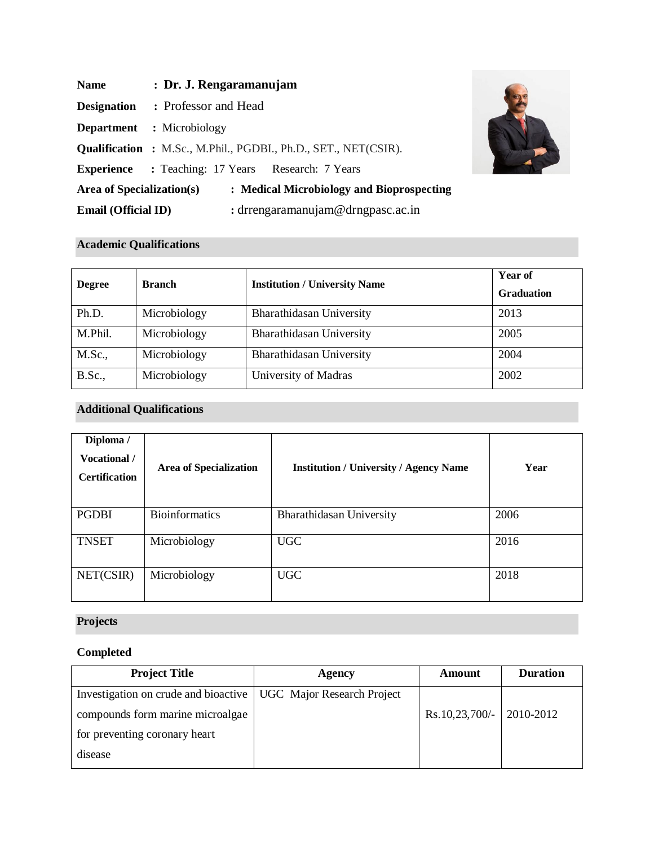| <b>Name</b>                      | : Dr. J. Rengaramanujam                                                |
|----------------------------------|------------------------------------------------------------------------|
| <b>Designation</b>               | : Professor and Head                                                   |
|                                  | <b>Department</b> : Microbiology                                       |
|                                  | <b>Qualification :</b> M.Sc., M.Phil., PGDBI., Ph.D., SET., NET(CSIR). |
|                                  | <b>Experience</b> : Teaching: 17 Years Research: 7 Years               |
| <b>Area of Specialization(s)</b> | : Medical Microbiology and Bioprospecting                              |
| <b>Email (Official ID)</b>       | : drrengaramanujam@drngpasc.ac.in                                      |



# **Academic Qualifications**

| <b>Degree</b>  | <b>Branch</b> | <b>Institution / University Name</b> | <b>Year of</b><br><b>Graduation</b> |
|----------------|---------------|--------------------------------------|-------------------------------------|
| Ph.D.          | Microbiology  | Bharathidasan University             | 2013                                |
| M.Phil.        | Microbiology  | Bharathidasan University             | 2005                                |
| <b>M.Sc.,</b>  | Microbiology  | Bharathidasan University             | 2004                                |
| <b>B.Sc.</b> , | Microbiology  | University of Madras                 | 2002                                |

# **Additional Qualifications**

| Diploma /<br>Vocational /<br><b>Certification</b> | <b>Area of Specialization</b> | <b>Institution / University / Agency Name</b> | Year |
|---------------------------------------------------|-------------------------------|-----------------------------------------------|------|
| <b>PGDBI</b>                                      | <b>Bioinformatics</b>         | Bharathidasan University                      | 2006 |
| <b>TNSET</b>                                      | Microbiology                  | <b>UGC</b>                                    | 2016 |
| NET(CSIR)                                         | Microbiology                  | <b>UGC</b>                                    | 2018 |

# **Projects**

# **Completed**

| <b>Project Title</b>                                              | Agency | Amount                            | <b>Duration</b> |
|-------------------------------------------------------------------|--------|-----------------------------------|-----------------|
| Investigation on crude and bioactive   UGC Major Research Project |        |                                   |                 |
| compounds form marine microalgae                                  |        | $\text{Rs.10,23,700/-}$ 2010-2012 |                 |
| for preventing coronary heart                                     |        |                                   |                 |
| disease                                                           |        |                                   |                 |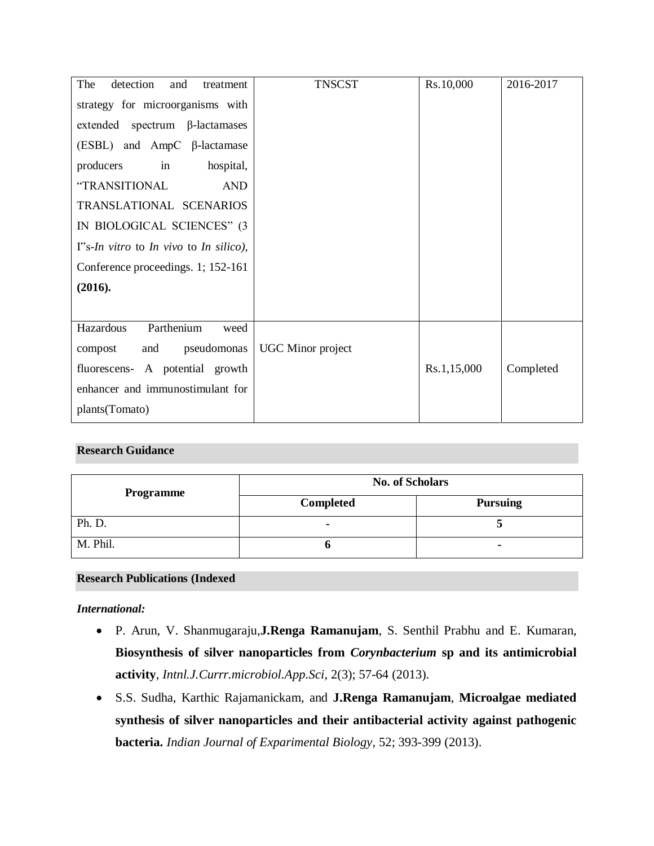| The<br>detection<br>and<br>treatment                    | <b>TNSCST</b>            | Rs.10,000   | 2016-2017 |
|---------------------------------------------------------|--------------------------|-------------|-----------|
| strategy for microorganisms with                        |                          |             |           |
| extended spectrum $\beta$ -lactamases                   |                          |             |           |
| $(ESBL)$ and AmpC $\beta$ -lactamase                    |                          |             |           |
| in<br>hospital,<br>producers                            |                          |             |           |
| "TRANSITIONAL<br><b>AND</b>                             |                          |             |           |
| TRANSLATIONAL SCENARIOS                                 |                          |             |           |
| IN BIOLOGICAL SCIENCES" (3                              |                          |             |           |
| $I^{\prime\prime}$ s-In vitro to In vivo to In silico), |                          |             |           |
| Conference proceedings. 1; 152-161                      |                          |             |           |
| (2016).                                                 |                          |             |           |
|                                                         |                          |             |           |
| Parthenium<br>Hazardous<br>weed                         |                          |             |           |
| pseudomonas<br>compost<br>and                           | <b>UGC</b> Minor project |             |           |
| fluorescens- A potential growth                         |                          | Rs.1,15,000 | Completed |
| enhancer and immunostimulant for                        |                          |             |           |
| plants(Tomato)                                          |                          |             |           |

## **Research Guidance**

| <b>Programme</b> | <b>No. of Scholars</b>              |   |
|------------------|-------------------------------------|---|
|                  | <b>Completed</b><br><b>Pursuing</b> |   |
| Ph. D.           |                                     |   |
| M. Phil.         |                                     | ٠ |

### **Research Publications (Indexed**

### *International:*

- P. Arun, V. Shanmugaraju,**J.Renga Ramanujam**, S. Senthil Prabhu and E. Kumaran, **Biosynthesis of silver nanoparticles from** *Corynbacterium* **sp and its antimicrobial activity***, Intnl.J.Currr.microbiol.App.Sci*, 2(3); 57-64 (2013).
- S.S. Sudha, Karthic Rajamanickam, and **J.Renga Ramanujam**, **Microalgae mediated synthesis of silver nanoparticles and their antibacterial activity against pathogenic bacteria.** *Indian Journal of Exparimental Biology*, 52; 393-399 (2013).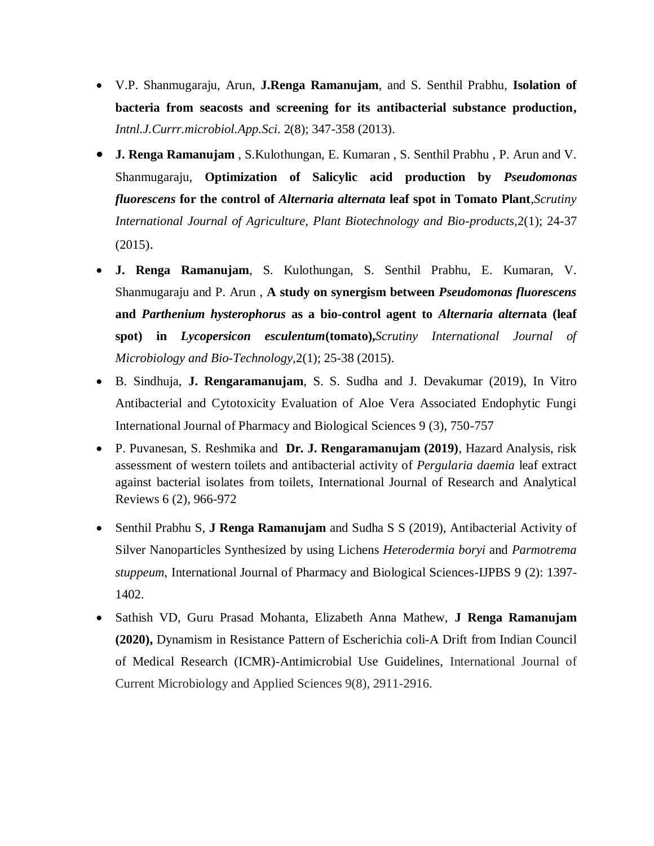- V.P. Shanmugaraju, Arun, **J.Renga Ramanujam**, and S. Senthil Prabhu, **Isolation of bacteria from seacosts and screening for its antibacterial substance production,** *Intnl.J.Currr.microbiol.App.Sci*. 2(8); 347-358 (2013).
- **J. Renga Ramanujam** , S.Kulothungan, E. Kumaran , S. Senthil Prabhu , P. Arun and V. Shanmugaraju, **Optimization of Salicylic acid production by** *Pseudomonas fluorescens* **for the control of** *Alternaria alternata* **leaf spot in Tomato Plant**,*Scrutiny International Journal of Agriculture, Plant Biotechnology and Bio-products,*2(1); 24-37 (2015).
- **J. Renga Ramanujam**, S. Kulothungan, S. Senthil Prabhu, E. Kumaran, V. Shanmugaraju and P. Arun , **A study on synergism between** *Pseudomonas fluorescens*  **and** *Parthenium hysterophorus* **as a bio-control agent to** *Alternaria altern***ata (leaf spot) in** *Lycopersicon esculentum***(tomato),***Scrutiny International Journal of Microbiology and Bio-Technology,*2(1); 25-38 (2015).
- B. Sindhuja, **J. Rengaramanujam**, S. S. Sudha and J. Devakumar (2019), In Vitro Antibacterial and Cytotoxicity Evaluation of Aloe Vera Associated Endophytic Fungi International Journal of Pharmacy and Biological Sciences 9 (3), 750-757
- P. Puvanesan, S. Reshmika and **Dr. J. Rengaramanujam (2019)**, Hazard Analysis, risk assessment of western toilets and antibacterial activity of *Pergularia daemia* leaf extract against bacterial isolates from toilets, International Journal of Research and Analytical Reviews 6 (2), 966-972
- Senthil Prabhu S, **J Renga Ramanujam** and Sudha S S (2019), Antibacterial Activity of Silver Nanoparticles Synthesized by using Lichens *Heterodermia boryi* and *Parmotrema stuppeum*, International Journal of Pharmacy and Biological Sciences-IJPBS 9 (2): 1397- 1402.
- Sathish VD, Guru Prasad Mohanta, Elizabeth Anna Mathew, **J Renga Ramanujam (2020),** Dynamism in Resistance Pattern of Escherichia coli-A Drift from Indian Council of Medical Research (ICMR)-Antimicrobial Use Guidelines, International Journal of Current Microbiology and Applied Sciences 9(8), 2911-2916.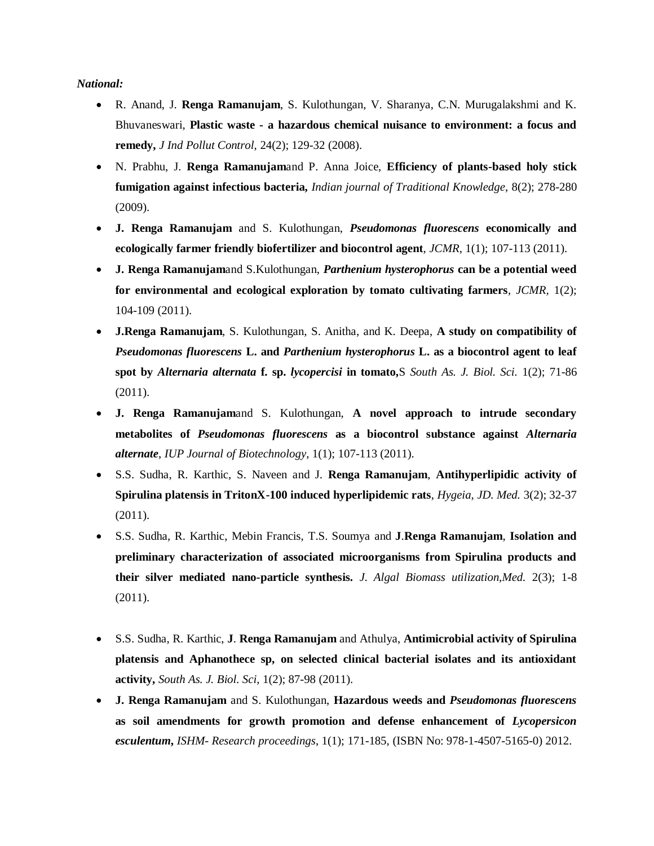*National:*

- R. Anand, J. **Renga Ramanujam**, S. Kulothungan, V. Sharanya, C.N. Murugalakshmi and K. Bhuvaneswari, **Plastic waste - a hazardous chemical nuisance to environment: a focus and remedy,** *J Ind Pollut Control*, 24(2); 129-32 (2008).
- N. Prabhu, J. **Renga Ramanujam**and P. Anna Joice, **Efficiency of plants-based holy stick fumigation against infectious bacteria,** *Indian journal of Traditional Knowledge*, 8(2); 278-280 (2009).
- **J. Renga Ramanujam** and S. Kulothungan, *Pseudomonas fluorescens* **economically and ecologically farmer friendly biofertilizer and biocontrol agent**, *JCMR*, 1(1); 107-113 (2011).
- **J. Renga Ramanujam**and S.Kulothungan, *Parthenium hysterophorus* **can be a potential weed for environmental and ecological exploration by tomato cultivating farmers**, *JCMR,* 1(2); 104-109 (2011).
- **J.Renga Ramanujam**, S. Kulothungan, S. Anitha, and K. Deepa, **A study on compatibility of**  *Pseudomonas fluorescens* **L. and** *Parthenium hysterophorus* **L. as a biocontrol agent to leaf spot by** *Alternaria alternata* **f. sp.** *lycopercisi* **in tomato,**S *South As. J. Biol. Sci.* 1(2); 71-86 (2011).
- **J. Renga Ramanujam**and S. Kulothungan, **A novel approach to intrude secondary metabolites of** *Pseudomonas fluorescens* **as a biocontrol substance against** *Alternaria alternate*, *IUP Journal of Biotechnology*, 1(1); 107-113 (2011).
- S.S. Sudha, R. Karthic, S. Naveen and J. **Renga Ramanujam**, **Antihyperlipidic activity of Spirulina platensis in TritonX-100 induced hyperlipidemic rats**, *Hygeia, JD. Med.* 3(2); 32-37 (2011).
- S.S. Sudha, R. Karthic, Mebin Francis, T.S. Soumya and **J**.**Renga Ramanujam**, **Isolation and preliminary characterization of associated microorganisms from Spirulina products and their silver mediated nano-particle synthesis.** *J. Algal Biomass utilization,Med.* 2(3); 1-8 (2011).
- S.S. Sudha, R. Karthic, **J**. **Renga Ramanujam** and Athulya, **Antimicrobial activity of Spirulina platensis and Aphanothece sp, on selected clinical bacterial isolates and its antioxidant activity,** *South As. J. Biol. Sci,* 1(2); 87-98 (2011).
- **J. Renga Ramanujam** and S. Kulothungan, **Hazardous weeds and** *Pseudomonas fluorescens* **as soil amendments for growth promotion and defense enhancement of** *Lycopersicon esculentum***,** *ISHM- Research proceedings*, 1(1); 171-185, (ISBN No: 978-1-4507-5165-0) 2012.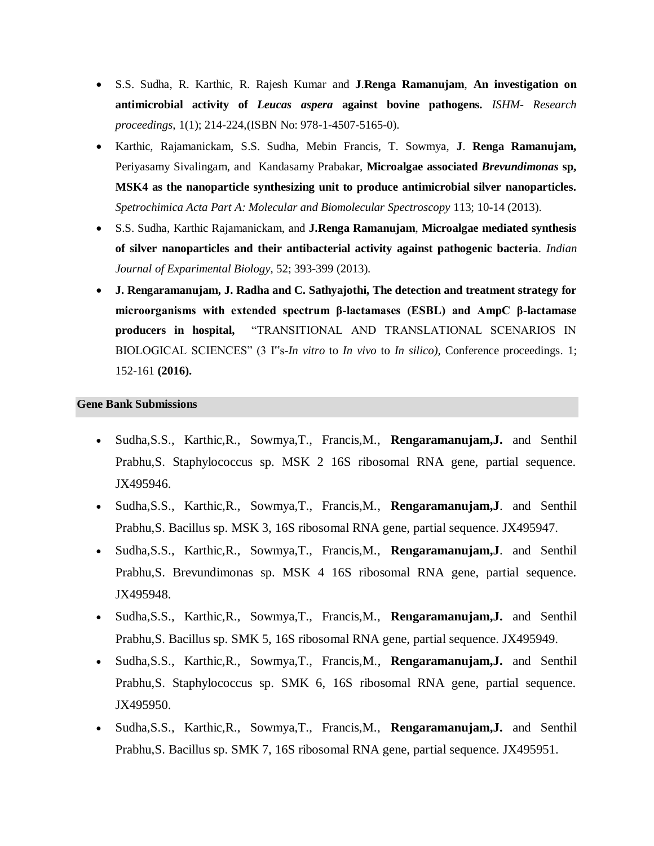- S.S. Sudha, R. Karthic, R. Rajesh Kumar and **J**.**Renga Ramanujam**, **An investigation on antimicrobial activity of** *Leucas aspera* **against bovine pathogens.** *ISHM- Research proceedings*, 1(1); 214-224,(ISBN No: 978-1-4507-5165-0).
- Karthic, Rajamanickam, S.S. Sudha, Mebin Francis, T. Sowmya, **J**. **Renga Ramanujam,**  Periyasamy Sivalingam, and Kandasamy Prabakar, **Microalgae associated** *Brevundimonas* **sp, MSK4 as the nanoparticle synthesizing unit to produce antimicrobial silver nanoparticles***. Spetrochimica Acta Part A: Molecular and Biomolecular Spectroscopy* 113; 10-14 (2013).
- S.S. Sudha, Karthic Rajamanickam, and **J.Renga Ramanujam**, **Microalgae mediated synthesis of silver nanoparticles and their antibacterial activity against pathogenic bacteria**. *Indian Journal of Exparimental Biology*, 52; 393-399 (2013).
- **J. Rengaramanujam, J. Radha and C. Sathyajothi, The detection and treatment strategy for microorganisms with extended spectrum β-lactamases (ESBL) and AmpC β-lactamase producers in hospital,** "TRANSITIONAL AND TRANSLATIONAL SCENARIOS IN BIOLOGICAL SCIENCES" (3 I"s-*In vitro* to *In vivo* to *In silico),* Conference proceedings. 1; 152-161 **(2016).**

#### **Gene Bank Submissions**

- Sudha,S.S., Karthic,R., Sowmya,T., Francis,M., **Rengaramanujam,J.** and Senthil Prabhu,S. Staphylococcus sp. MSK 2 16S ribosomal RNA gene, partial sequence. JX495946.
- Sudha,S.S., Karthic,R., Sowmya,T., Francis,M., **Rengaramanujam,J**. and Senthil Prabhu,S. Bacillus sp. MSK 3, 16S ribosomal RNA gene, partial sequence. JX495947.
- Sudha,S.S., Karthic,R., Sowmya,T., Francis,M., **Rengaramanujam,J**. and Senthil Prabhu,S. Brevundimonas sp. MSK 4 16S ribosomal RNA gene, partial sequence. JX495948.
- Sudha,S.S., Karthic,R., Sowmya,T., Francis,M., **Rengaramanujam,J.** and Senthil Prabhu,S. Bacillus sp. SMK 5, 16S ribosomal RNA gene, partial sequence. JX495949.
- Sudha,S.S., Karthic,R., Sowmya,T., Francis,M., **Rengaramanujam,J.** and Senthil Prabhu,S. Staphylococcus sp. SMK 6, 16S ribosomal RNA gene, partial sequence. JX495950.
- Sudha,S.S., Karthic,R., Sowmya,T., Francis,M., **Rengaramanujam,J.** and Senthil Prabhu,S. Bacillus sp. SMK 7, 16S ribosomal RNA gene, partial sequence. JX495951.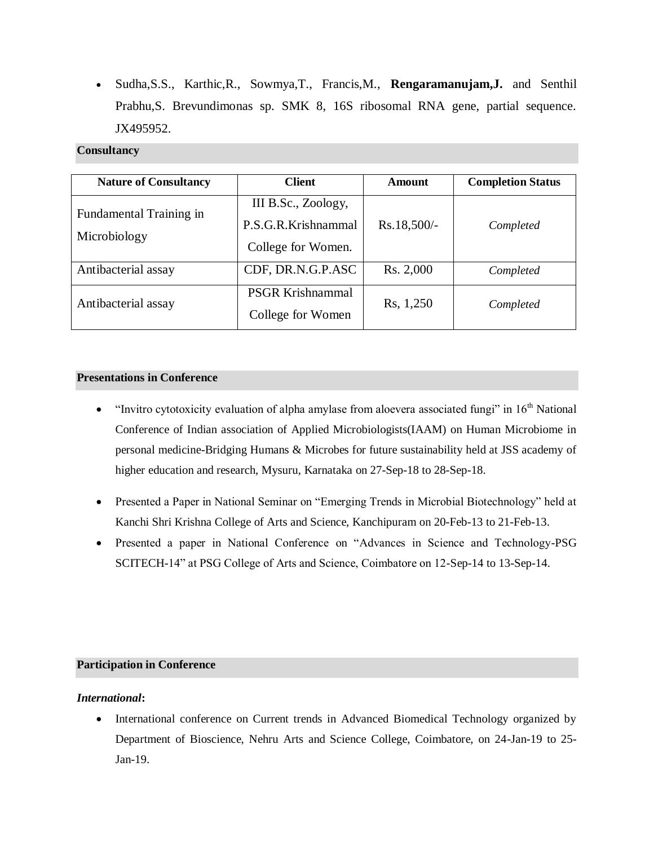Sudha,S.S., Karthic,R., Sowmya,T., Francis,M., **Rengaramanujam,J.** and Senthil Prabhu,S. Brevundimonas sp. SMK 8, 16S ribosomal RNA gene, partial sequence. JX495952.

## **Consultancy**

| <b>Nature of Consultancy</b> | <b>Client</b>           | Amount      | <b>Completion Status</b> |  |
|------------------------------|-------------------------|-------------|--------------------------|--|
| Fundamental Training in      | III B.Sc., Zoology,     |             |                          |  |
|                              | P.S.G.R.Krishnammal     | Rs.18,500/- | Completed                |  |
| Microbiology                 | College for Women.      |             |                          |  |
| Antibacterial assay          | CDF, DR.N.G.P.ASC       | Rs. 2,000   | Completed                |  |
| Antibacterial assay          | <b>PSGR Krishnammal</b> | Rs, 1,250   |                          |  |
|                              | College for Women       |             | Completed                |  |

### **Presentations in Conference**

- "Invitro cytotoxicity evaluation of alpha amylase from aloevera associated fungi" in 16th National Conference of Indian association of Applied Microbiologists(IAAM) on Human Microbiome in personal medicine-Bridging Humans & Microbes for future sustainability held at JSS academy of higher education and research, Mysuru, Karnataka on 27-Sep-18 to 28-Sep-18.
- Presented a Paper in National Seminar on "Emerging Trends in Microbial Biotechnology" held at Kanchi Shri Krishna College of Arts and Science, Kanchipuram on 20-Feb-13 to 21-Feb-13.
- Presented a paper in National Conference on "Advances in Science and Technology-PSG SCITECH-14" at PSG College of Arts and Science, Coimbatore on 12-Sep-14 to 13-Sep-14.

## **Participation in Conference**

### *International***:**

• International conference on Current trends in Advanced Biomedical Technology organized by Department of Bioscience, Nehru Arts and Science College, Coimbatore, on 24-Jan-19 to 25- Jan-19.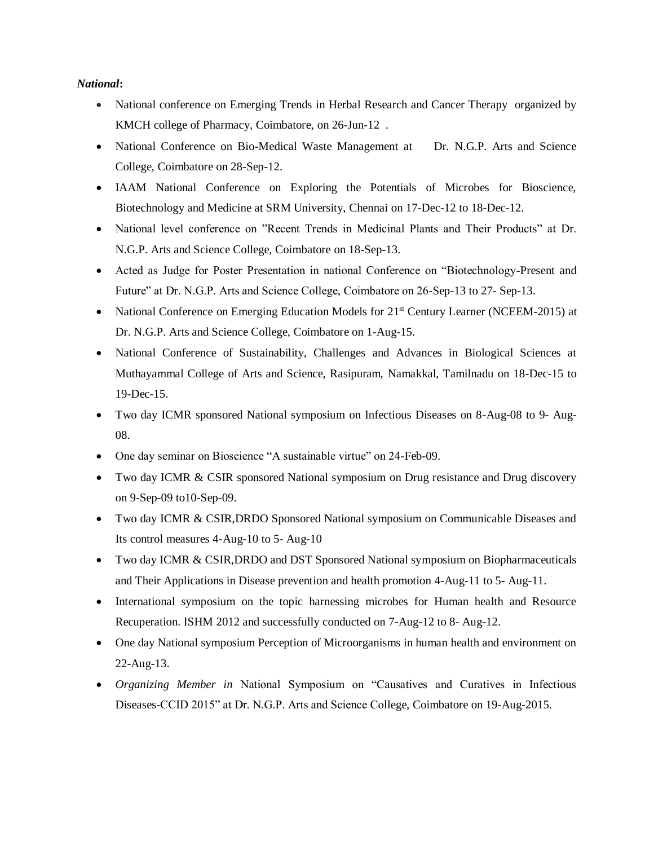#### *National***:**

- National conference on Emerging Trends in Herbal Research and Cancer Therapy organized by KMCH college of Pharmacy, Coimbatore, on 26-Jun-12 .
- National Conference on Bio-Medical Waste Management at Dr. N.G.P. Arts and Science College, Coimbatore on 28-Sep-12.
- IAAM National Conference on Exploring the Potentials of Microbes for Bioscience, Biotechnology and Medicine at SRM University, Chennai on 17-Dec-12 to 18-Dec-12.
- National level conference on "Recent Trends in Medicinal Plants and Their Products" at Dr. N.G.P. Arts and Science College, Coimbatore on 18-Sep-13.
- Acted as Judge for Poster Presentation in national Conference on "Biotechnology-Present and Future" at Dr. N.G.P. Arts and Science College, Coimbatore on 26-Sep-13 to 27- Sep-13.
- National Conference on Emerging Education Models for 21<sup>st</sup> Century Learner (NCEEM-2015) at Dr. N.G.P. Arts and Science College, Coimbatore on 1-Aug-15.
- National Conference of Sustainability, Challenges and Advances in Biological Sciences at Muthayammal College of Arts and Science, Rasipuram, Namakkal, Tamilnadu on 18-Dec-15 to 19-Dec-15.
- Two day ICMR sponsored National symposium on Infectious Diseases on 8-Aug-08 to 9- Aug-08.
- One day seminar on Bioscience "A sustainable virtue" on 24-Feb-09.
- Two day ICMR & CSIR sponsored National symposium on Drug resistance and Drug discovery on 9-Sep-09 to10-Sep-09.
- Two day ICMR & CSIR,DRDO Sponsored National symposium on Communicable Diseases and Its control measures 4-Aug-10 to 5- Aug-10
- Two day ICMR & CSIR,DRDO and DST Sponsored National symposium on Biopharmaceuticals and Their Applications in Disease prevention and health promotion 4-Aug-11 to 5- Aug-11.
- International symposium on the topic harnessing microbes for Human health and Resource Recuperation. ISHM 2012 and successfully conducted on 7-Aug-12 to 8- Aug-12.
- One day National symposium Perception of Microorganisms in human health and environment on 22-Aug-13.
- *Organizing Member in* National Symposium on "Causatives and Curatives in Infectious Diseases-CCID 2015" at Dr. N.G.P. Arts and Science College, Coimbatore on 19-Aug-2015.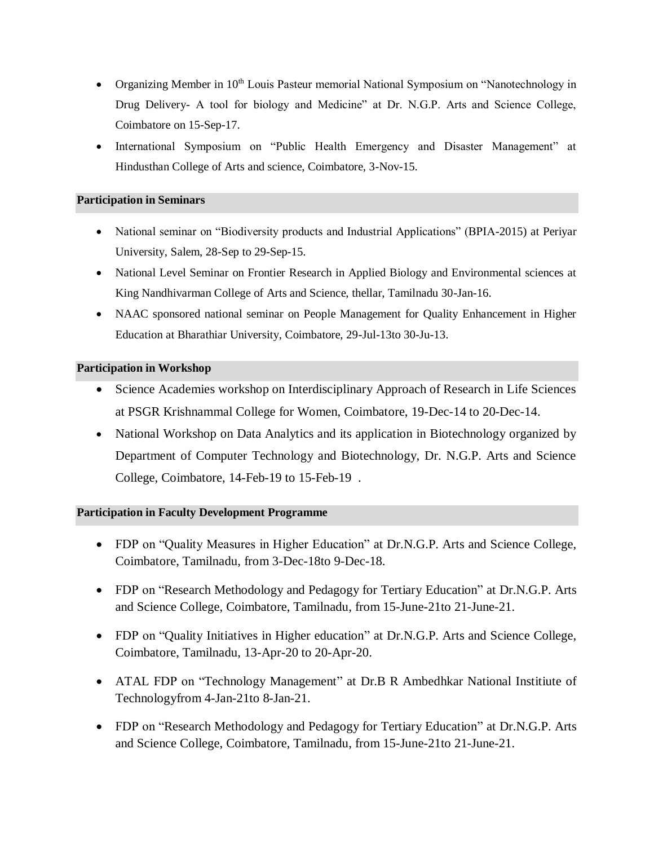- Organizing Member in  $10<sup>th</sup>$  Louis Pasteur memorial National Symposium on "Nanotechnology in Drug Delivery- A tool for biology and Medicine" at Dr. N.G.P. Arts and Science College, Coimbatore on 15-Sep-17.
- International Symposium on "Public Health Emergency and Disaster Management" at Hindusthan College of Arts and science, Coimbatore, 3-Nov-15.

## **Participation in Seminars**

- National seminar on "Biodiversity products and Industrial Applications" (BPIA-2015) at Periyar University, Salem, 28-Sep to 29-Sep-15.
- National Level Seminar on Frontier Research in Applied Biology and Environmental sciences at King Nandhivarman College of Arts and Science, thellar, Tamilnadu 30-Jan-16.
- NAAC sponsored national seminar on People Management for Quality Enhancement in Higher Education at Bharathiar University, Coimbatore, 29-Jul-13to 30-Ju-13.

## **Participation in Workshop**

- Science Academies workshop on Interdisciplinary Approach of Research in Life Sciences at PSGR Krishnammal College for Women, Coimbatore, 19-Dec-14 to 20-Dec-14.
- National Workshop on Data Analytics and its application in Biotechnology organized by Department of Computer Technology and Biotechnology, Dr. N.G.P. Arts and Science College, Coimbatore, 14-Feb-19 to 15-Feb-19 .

## **Participation in Faculty Development Programme**

- FDP on "Quality Measures in Higher Education" at Dr.N.G.P. Arts and Science College, Coimbatore, Tamilnadu, from 3-Dec-18to 9-Dec-18.
- FDP on "Research Methodology and Pedagogy for Tertiary Education" at Dr.N.G.P. Arts and Science College, Coimbatore, Tamilnadu, from 15-June-21to 21-June-21.
- FDP on "Quality Initiatives in Higher education" at Dr.N.G.P. Arts and Science College, Coimbatore, Tamilnadu, 13-Apr-20 to 20-Apr-20.
- ATAL FDP on "Technology Management" at Dr.B R Ambedhkar National Institiute of Technologyfrom 4-Jan-21to 8-Jan-21.
- FDP on "Research Methodology and Pedagogy for Tertiary Education" at Dr.N.G.P. Arts and Science College, Coimbatore, Tamilnadu, from 15-June-21to 21-June-21.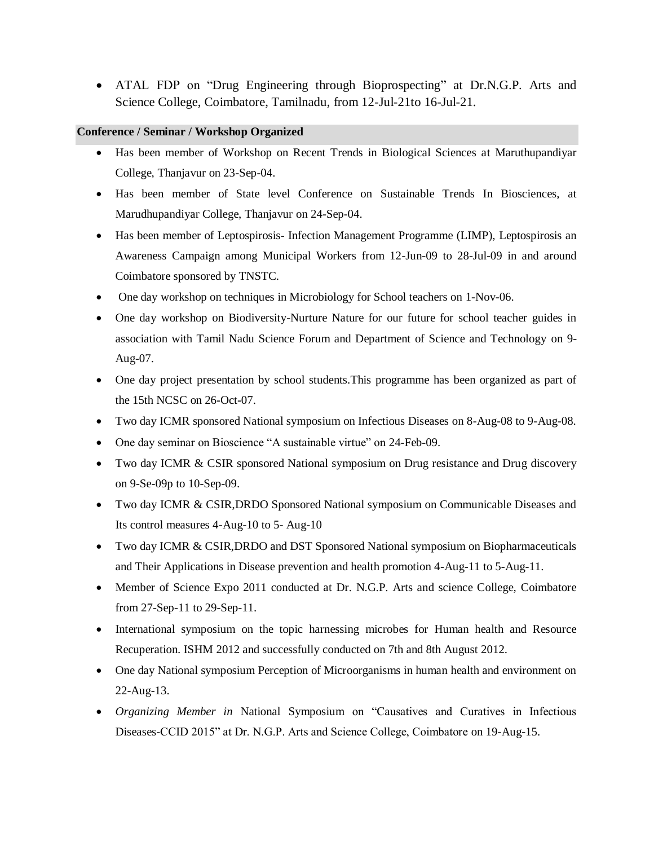ATAL FDP on "Drug Engineering through Bioprospecting" at Dr.N.G.P. Arts and Science College, Coimbatore, Tamilnadu, from 12-Jul-21to 16-Jul-21.

### **Conference / Seminar / Workshop Organized**

- Has been member of Workshop on Recent Trends in Biological Sciences at Maruthupandiyar College, Thanjavur on 23-Sep-04.
- Has been member of State level Conference on Sustainable Trends In Biosciences, at Marudhupandiyar College, Thanjavur on 24-Sep-04.
- Has been member of Leptospirosis- Infection Management Programme (LIMP), Leptospirosis an Awareness Campaign among Municipal Workers from 12-Jun-09 to 28-Jul-09 in and around Coimbatore sponsored by TNSTC.
- One day workshop on techniques in Microbiology for School teachers on 1-Nov-06.
- One day workshop on Biodiversity-Nurture Nature for our future for school teacher guides in association with Tamil Nadu Science Forum and Department of Science and Technology on 9- Aug-07.
- One day project presentation by school students.This programme has been organized as part of the 15th NCSC on 26-Oct-07.
- Two day ICMR sponsored National symposium on Infectious Diseases on 8-Aug-08 to 9-Aug-08.
- One day seminar on Bioscience "A sustainable virtue" on 24-Feb-09.
- Two day ICMR & CSIR sponsored National symposium on Drug resistance and Drug discovery on 9-Se-09p to 10-Sep-09.
- Two day ICMR & CSIR,DRDO Sponsored National symposium on Communicable Diseases and Its control measures 4-Aug-10 to 5- Aug-10
- Two day ICMR & CSIR,DRDO and DST Sponsored National symposium on Biopharmaceuticals and Their Applications in Disease prevention and health promotion 4-Aug-11 to 5-Aug-11.
- Member of Science Expo 2011 conducted at Dr. N.G.P. Arts and science College, Coimbatore from 27-Sep-11 to 29-Sep-11.
- International symposium on the topic harnessing microbes for Human health and Resource Recuperation. ISHM 2012 and successfully conducted on 7th and 8th August 2012.
- One day National symposium Perception of Microorganisms in human health and environment on 22-Aug-13.
- *Organizing Member in* National Symposium on "Causatives and Curatives in Infectious Diseases-CCID 2015" at Dr. N.G.P. Arts and Science College, Coimbatore on 19-Aug-15.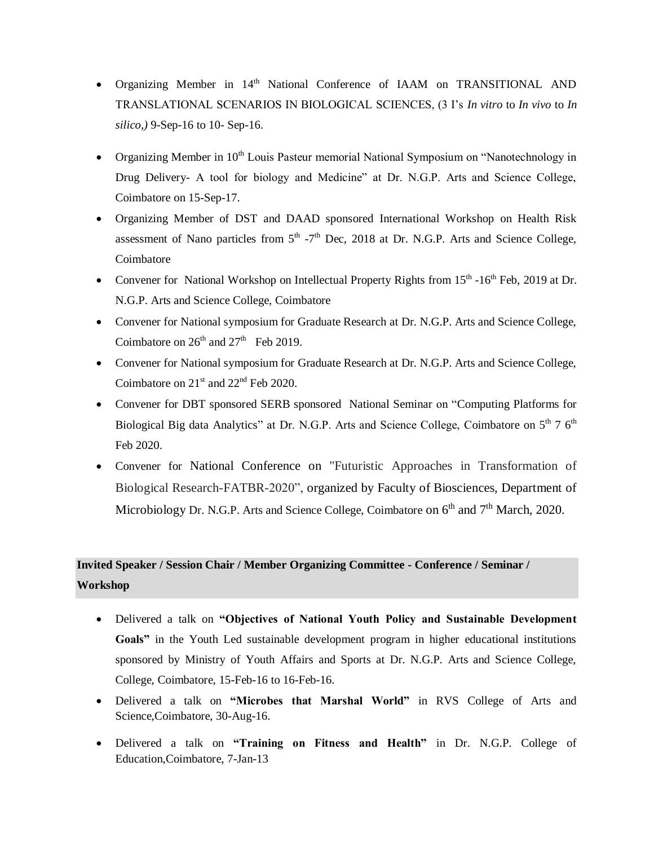- Organizing Member in 14<sup>th</sup> National Conference of IAAM on TRANSITIONAL AND TRANSLATIONAL SCENARIOS IN BIOLOGICAL SCIENCES, (3 I's *In vitro* to *In vivo* to *In silico,)* 9-Sep-16 to 10- Sep-16.
- Organizing Member in  $10<sup>th</sup>$  Louis Pasteur memorial National Symposium on "Nanotechnology in Drug Delivery- A tool for biology and Medicine" at Dr. N.G.P. Arts and Science College, Coimbatore on 15-Sep-17.
- Organizing Member of DST and DAAD sponsored International Workshop on Health Risk assessment of Nano particles from  $5<sup>th</sup> - 7<sup>th</sup>$  Dec, 2018 at Dr. N.G.P. Arts and Science College, Coimbatore
- Convener for National Workshop on Intellectual Property Rights from 15<sup>th</sup> -16<sup>th</sup> Feb, 2019 at Dr. N.G.P. Arts and Science College, Coimbatore
- Convener for National symposium for Graduate Research at Dr. N.G.P. Arts and Science College, Coimbatore on  $26<sup>th</sup>$  and  $27<sup>th</sup>$  Feb 2019.
- Convener for National symposium for Graduate Research at Dr. N.G.P. Arts and Science College, Coimbatore on 21<sup>st</sup> and 22<sup>nd</sup> Feb 2020.
- Convener for DBT sponsored SERB sponsored National Seminar on "Computing Platforms for Biological Big data Analytics" at Dr. N.G.P. Arts and Science College, Coimbatore on 5<sup>th</sup> 7 6<sup>th</sup> Feb 2020.
- Convener for National Conference on "Futuristic Approaches in Transformation of Biological Research-FATBR-2020", organized by Faculty of Biosciences, Department of Microbiology Dr. N.G.P. Arts and Science College, Coimbatore on  $6<sup>th</sup>$  and  $7<sup>th</sup>$  March, 2020.

# **Invited Speaker / Session Chair / Member Organizing Committee - Conference / Seminar / Workshop**

- Delivered a talk on **"Objectives of National Youth Policy and Sustainable Development Goals"** in the Youth Led sustainable development program in higher educational institutions sponsored by Ministry of Youth Affairs and Sports at Dr. N.G.P. Arts and Science College, College, Coimbatore, 15-Feb-16 to 16-Feb-16.
- Delivered a talk on **"Microbes that Marshal World"** in RVS College of Arts and Science,Coimbatore, 30-Aug-16.
- Delivered a talk on **"Training on Fitness and Health"** in Dr. N.G.P. College of Education,Coimbatore, 7-Jan-13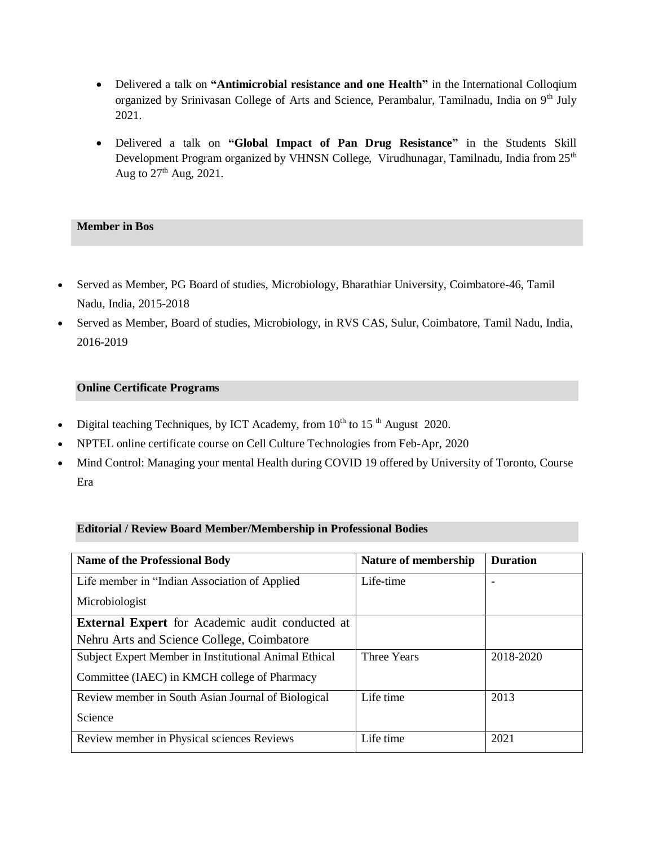- Delivered a talk on "**Antimicrobial resistance and one Health**" in the International Colloqium organized by Srinivasan College of Arts and Science, Perambalur, Tamilnadu, India on 9<sup>th</sup> July 2021.
- Delivered a talk on **"Global Impact of Pan Drug Resistance"** in the Students Skill Development Program organized by VHNSN College, Virudhunagar, Tamilnadu, India from 25<sup>th</sup> Aug to  $27<sup>th</sup>$  Aug, 2021.

## **Member in Bos**

- Served as Member, PG Board of studies, Microbiology, Bharathiar University, Coimbatore-46, Tamil Nadu, India, 2015-2018
- Served as Member, Board of studies, Microbiology, in RVS CAS, Sulur, Coimbatore, Tamil Nadu, India, 2016-2019

# **Online Certificate Programs**

- Digital teaching Techniques, by ICT Academy, from  $10<sup>th</sup>$  to  $15<sup>th</sup>$  August 2020.
- NPTEL online certificate course on Cell Culture Technologies from Feb-Apr, 2020
- Mind Control: Managing your mental Health during COVID 19 offered by University of Toronto, Course Era

## **Editorial / Review Board Member/Membership in Professional Bodies**

| <b>Name of the Professional Body</b>                   | Nature of membership | <b>Duration</b> |
|--------------------------------------------------------|----------------------|-----------------|
| Life member in "Indian Association of Applied          | Life-time            |                 |
| Microbiologist                                         |                      |                 |
| <b>External Expert</b> for Academic audit conducted at |                      |                 |
| Nehru Arts and Science College, Coimbatore             |                      |                 |
| Subject Expert Member in Institutional Animal Ethical  | Three Years          | 2018-2020       |
| Committee (IAEC) in KMCH college of Pharmacy           |                      |                 |
| Review member in South Asian Journal of Biological     | Life time            | 2013            |
| Science                                                |                      |                 |
| Review member in Physical sciences Reviews             | Life time            | 2021            |